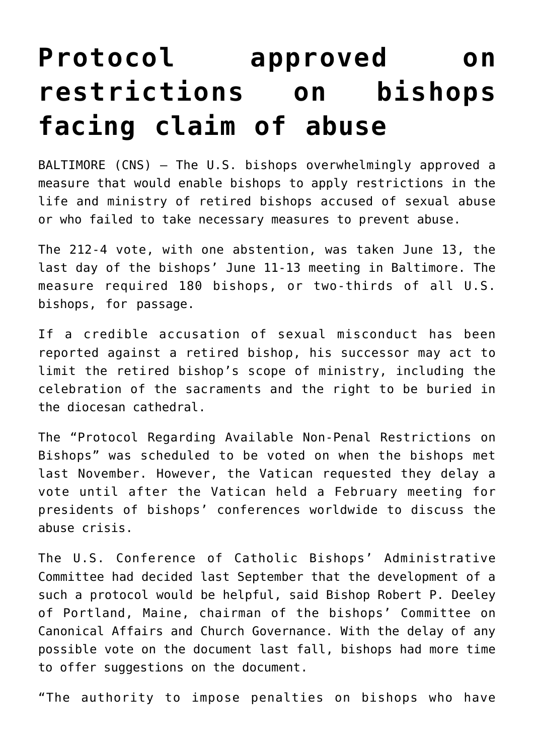## **[Protocol approved on](https://www.osvnews.com/2019/06/13/protocol-approved-on-restrictions-on-bishops-facing-claim-of-abuse/) [restrictions on bishops](https://www.osvnews.com/2019/06/13/protocol-approved-on-restrictions-on-bishops-facing-claim-of-abuse/) [facing claim of abuse](https://www.osvnews.com/2019/06/13/protocol-approved-on-restrictions-on-bishops-facing-claim-of-abuse/)**

BALTIMORE (CNS) — The U.S. bishops overwhelmingly approved a measure that would enable bishops to apply restrictions in the life and ministry of retired bishops accused of sexual abuse or who failed to take necessary measures to prevent abuse.

The 212-4 vote, with one abstention, was taken June 13, the last day of the bishops' June 11-13 meeting in Baltimore. The measure required 180 bishops, or two-thirds of all U.S. bishops, for passage.

If a credible accusation of sexual misconduct has been reported against a retired bishop, his successor may act to limit the retired bishop's scope of ministry, including the celebration of the sacraments and the right to be buried in the diocesan cathedral.

The "Protocol Regarding Available Non-Penal Restrictions on Bishops" was scheduled to be voted on when the bishops met last November. However, the Vatican requested they delay a vote until after the Vatican held a February meeting for presidents of bishops' conferences worldwide to discuss the abuse crisis.

The U.S. Conference of Catholic Bishops' Administrative Committee had decided last September that the development of a such a protocol would be helpful, said Bishop Robert P. Deeley of Portland, Maine, chairman of the bishops' Committee on Canonical Affairs and Church Governance. With the delay of any possible vote on the document last fall, bishops had more time to offer suggestions on the document.

"The authority to impose penalties on bishops who have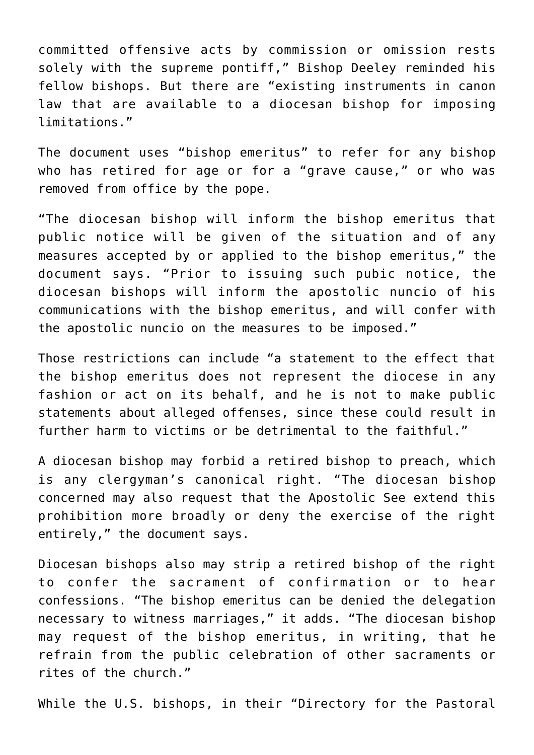committed offensive acts by commission or omission rests solely with the supreme pontiff," Bishop Deeley reminded his fellow bishops. But there are "existing instruments in canon law that are available to a diocesan bishop for imposing limitations."

The document uses "bishop emeritus" to refer for any bishop who has retired for age or for a "grave cause," or who was removed from office by the pope.

"The diocesan bishop will inform the bishop emeritus that public notice will be given of the situation and of any measures accepted by or applied to the bishop emeritus," the document says. "Prior to issuing such pubic notice, the diocesan bishops will inform the apostolic nuncio of his communications with the bishop emeritus, and will confer with the apostolic nuncio on the measures to be imposed."

Those restrictions can include "a statement to the effect that the bishop emeritus does not represent the diocese in any fashion or act on its behalf, and he is not to make public statements about alleged offenses, since these could result in further harm to victims or be detrimental to the faithful."

A diocesan bishop may forbid a retired bishop to preach, which is any clergyman's canonical right. "The diocesan bishop concerned may also request that the Apostolic See extend this prohibition more broadly or deny the exercise of the right entirely," the document says.

Diocesan bishops also may strip a retired bishop of the right to confer the sacrament of confirmation or to hear confessions. "The bishop emeritus can be denied the delegation necessary to witness marriages," it adds. "The diocesan bishop may request of the bishop emeritus, in writing, that he refrain from the public celebration of other sacraments or rites of the church."

While the U.S. bishops, in their "Directory for the Pastoral